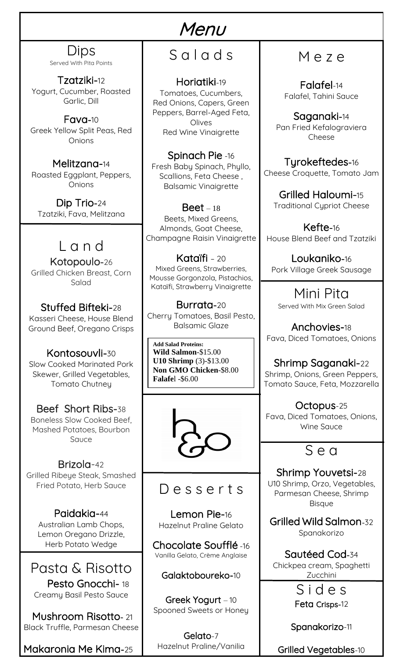#### Dips Served With Pita Points

Tzatziki-12 Yogurt, Cucumber, Roasted Garlic, Dill

Fava-10 Greek Yellow Split Peas, Red **Onions** 

Melitzana-14 Roasted Eggplant, Peppers, Onions

Dip Trio-24 Tzatziki, Fava, Melitzana

### L a n d

Kotopoulo-26 Grilled Chicken Breast, Corn Salad

Stuffed Bifteki-28 Kasseri Cheese, House Blend Ground Beef, Oregano Crisps

Kontosouvli-30 Slow Cooked Marinated Pork Skewer, Grilled Vegetables, Tomato Chutney

#### Beef Short Ribs-38 Boneless Slow Cooked Beef, Mashed Potatoes, Bourbon Sauce

 Brizola-42 Grilled Ribeye Steak, Smashed Fried Potato, Herb Sauce

Paidakia-44 Australian Lamb Chops, Lemon Oregano Drizzle, Herb Potato Wedge

Pasta & Risotto Pesto Gnocchi-18 Creamy Basil Pesto Sauce

 Mushroom Risotto- 21 Black Truffle, Parmesan Cheese

Makaronia Me Kima-25

# Menu S a l a d s

Horiatiki-19

Tomatoes, Cucumbers, Red Onions, Capers, Green Peppers, Barrel-Aged Feta, Olives Red Wine Vinaigrette

Spinach Pie -16 Fresh Baby Spinach, Phyllo, Scallions, Feta Cheese , Balsamic Vinaigrette

 $\text{Beet} - 18$ Beets, Mixed Greens, Almonds, Goat Cheese, Champagne Raisin Vinaigrette

Kataïfi – 20 Mixed Greens, Strawberries, Mousse Gorgonzola, Pistachios, Kataïfi, Strawberry Vinaigrette

Burrata-20 Cherry Tomatoes, Basil Pesto, Balsamic Glaze

**Add Salad Proteins: Wild Salmon**-\$15.00 **U10 Shrimp** (3)-\$13.00 **Non GMO Chicken**-\$8.00 **Falafe**l -\$6.00



### D e s s e r t s

Lemon Pie-16 Hazelnut Praline Gelato

Chocolate Soufflé -16 Vanilla Gelato, Crème Anglaise

Galaktoboureko-10

Greek Yogurt – 10 Spooned Sweets or Honey

Gelato-7 Hazelnut Praline/Vanilia

# M e z e

Falafel-14 Falafel, Tahini Sauce

Saganaki-14 Pan Fried Kefalograviera Cheese

Tyrokeftedes-16 Cheese Croquette, Tomato Jam

Grilled Haloumi-15 Traditional Cypriot Cheese

Kefte-16 House Blend Beef and Tzatziki

Loukaniko-16 Pork Village Greek Sausage

Mini Pita Served With Mix Green Salad

Anchovies-18 Fava, Diced Tomatoes, Onions

Shrimp Saganaki-22 Shrimp, Onions, Green Peppers, Tomato Sauce, Feta, Mozzarella

Octopus-25 Fava, Diced Tomatoes, Onions, Wine Sauce

## S e a

Shrimp Youvetsi-28 U10 Shrimp, Orzo, Vegetables, Parmesan Cheese, Shrimp Bisque

Grilled Wild Salmon-32 Spanakorizo

Sautéed Cod-34 Chickpea cream, Spaghetti Zucchini

> S i d e s Feta Crisps-12

Spanakorizo-11

Grilled Vegetables-10